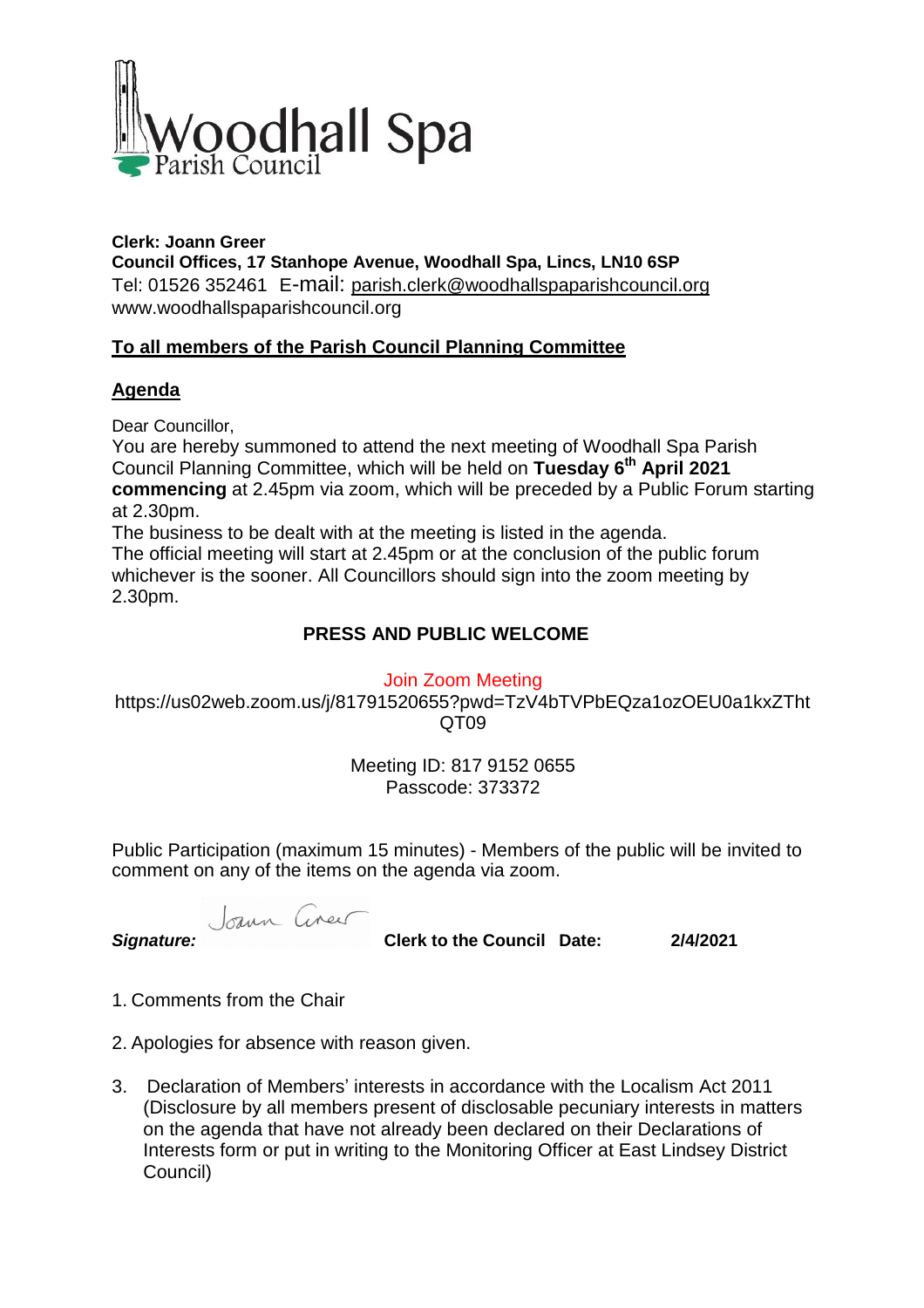

**Clerk: Joann Greer Council Offices, 17 Stanhope Avenue, Woodhall Spa, Lincs, LN10 6SP** Tel: 01526 352461 E-mail: parish.clerk@woodhallspaparishcouncil.org www.woodhallspaparishcouncil.org

# **To all members of the Parish Council Planning Committee**

#### **Agenda**

Dear Councillor,

You are hereby summoned to attend the next meeting of Woodhall Spa Parish Council Planning Committee, which will be held on **Tuesday 6 th April 2021 commencing** at 2.45pm via zoom, which will be preceded by a Public Forum starting at 2.30pm.

The business to be dealt with at the meeting is listed in the agenda. The official meeting will start at 2.45pm or at the conclusion of the public forum whichever is the sooner. All Councillors should sign into the zoom meeting by 2.30pm.

## **PRESS AND PUBLIC WELCOME**

Join Zoom Meeting

https://us02web.zoom.us/j/81791520655?pwd=TzV4bTVPbEQza1ozOEU0a1kxZTht QT09

> Meeting ID: 817 9152 0655 Passcode: 373372

Public Participation (maximum 15 minutes) - Members of the public will be invited to comment on any of the items on the agenda via zoom.

Joann Cineu

*Signature:* **Clerk to the Council Date: 2/4/2021**

- 1. Comments from the Chair
- 2. Apologies for absence with reason given.
- 3. Declaration of Members' interests in accordance with the Localism Act 2011 (Disclosure by all members present of disclosable pecuniary interests in matters on the agenda that have not already been declared on their Declarations of Interests form or put in writing to the Monitoring Officer at East Lindsey District Council)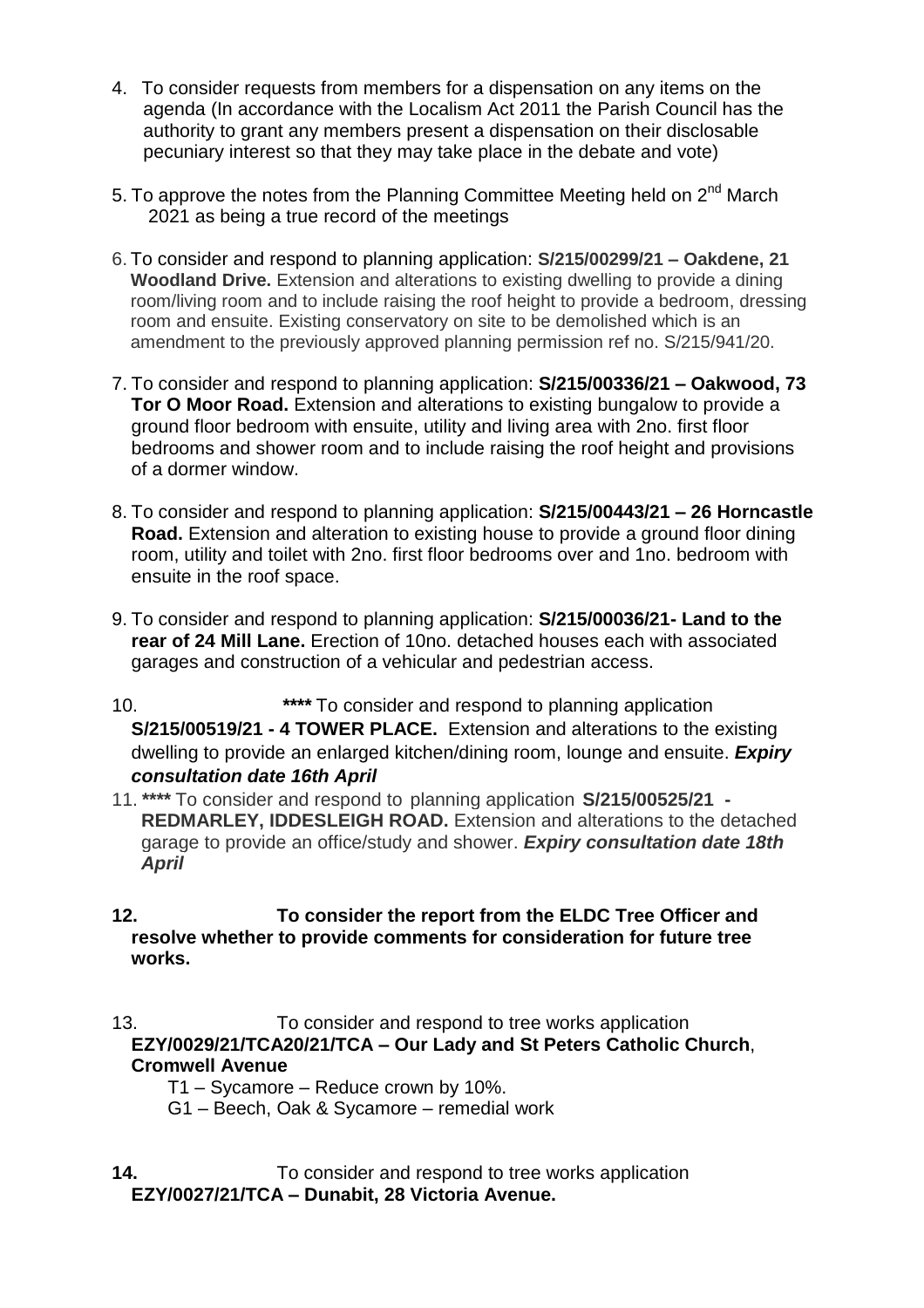- 4. To consider requests from members for a dispensation on any items on the agenda (In accordance with the Localism Act 2011 the Parish Council has the authority to grant any members present a dispensation on their disclosable pecuniary interest so that they may take place in the debate and vote)
- 5. To approve the notes from the Planning Committee Meeting held on 2<sup>nd</sup> March 2021 as being a true record of the meetings
- 6. To consider and respond to planning application: **S/215/00299/21 – Oakdene, 21 Woodland Drive.** Extension and alterations to existing dwelling to provide a dining room/living room and to include raising the roof height to provide a bedroom, dressing room and ensuite. Existing conservatory on site to be demolished which is an amendment to the previously approved planning permission ref no. S/215/941/20.
- 7. To consider and respond to planning application: **S/215/00336/21 – Oakwood, 73 Tor O Moor Road.** Extension and alterations to existing bungalow to provide a ground floor bedroom with ensuite, utility and living area with 2no. first floor bedrooms and shower room and to include raising the roof height and provisions of a dormer window.
- 8. To consider and respond to planning application: **S/215/00443/21 – 26 Horncastle Road.** Extension and alteration to existing house to provide a ground floor dining room, utility and toilet with 2no. first floor bedrooms over and 1no. bedroom with ensuite in the roof space.
- 9. To consider and respond to planning application: **S/215/00036/21- Land to the rear of 24 Mill Lane.** Erection of 10no. detached houses each with associated garages and construction of a vehicular and pedestrian access.
- 10. *\*\*\*\** To consider and respond to planning application **S/215/00519/21 - 4 TOWER PLACE.** Extension and alterations to the existing dwelling to provide an enlarged kitchen/dining room, lounge and ensuite. *Expiry consultation date 16th April*
- 11.*\*\*\*\** To consider and respond to planning application **S/215/00525/21 - REDMARLEY, IDDESLEIGH ROAD.** Extension and alterations to the detached garage to provide an office/study and shower. *Expiry consultation date 18th April*
- **12. To consider the report from the ELDC Tree Officer and resolve whether to provide comments for consideration for future tree works.**
- 13. To consider and respond to tree works application **EZY/0029/21/TCA20/21/TCA – Our Lady and St Peters Catholic Church**, **Cromwell Avenue**
	- T1 Sycamore Reduce crown by 10%.
	- G1 Beech, Oak & Sycamore remedial work
- **14.** To consider and respond to tree works application **EZY/0027/21/TCA – Dunabit, 28 Victoria Avenue.**